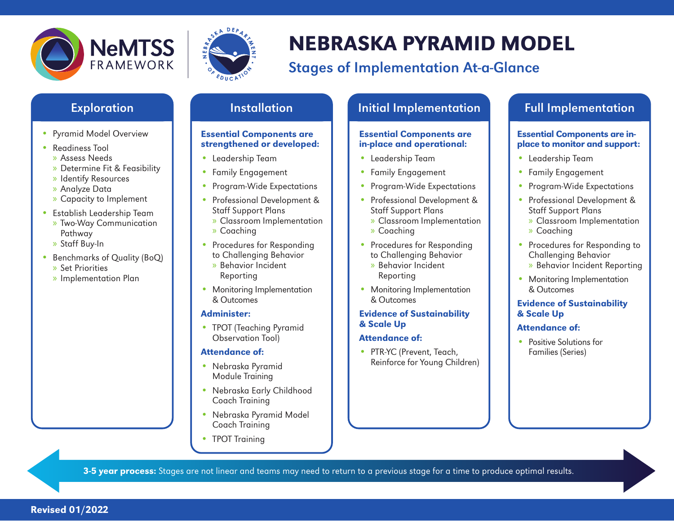



# NEBRASKA PYRAMID MODEL

# Stages of Implementation At-a-Glance

- Pyramid Model Overview
- Readiness Tool
- » Assess Needs
- » Determine Fit & Feasibility
- » Identify Resources
- » Analyze Data
- » Capacity to Implement
- Establish Leadership Team » Two-Way Communication Pathway
	- » Staff Buy-In
- Benchmarks of Quality (BoQ) » Set Priorities
	- » Implementation Plan

#### Essential Components are strengthened or developed:

- Leadership Team
- Family Engagement
- Program-Wide Expectations
- Professional Development & Staff Support Plans
- » Classroom Implementation
- » Coaching
- Procedures for Responding to Challenging Behavior
	- » Behavior Incident Reporting
- Monitoring Implementation & Outcomes

### Administer:

• TPOT (Teaching Pyramid Observation Tool)

### Attendance of:

- Nebraska Pyramid Module Training
- Nebraska Early Childhood Coach Training
- Nebraska Pyramid Model Coach Training
- TPOT Training

# Exploration **Installation** Installation **Industrial Implementation Installation**

#### Essential Components are in-place and operational:

- Leadership Team
- Family Engagement
- Program-Wide Expectations
- Professional Development & Staff Support Plans
	- » Classroom Implementation
	- » Coaching
- Procedures for Responding to Challenging Behavior
	- » Behavior Incident Reporting
- Monitoring Implementation & Outcomes

#### Evidence of Sustainability & Scale Up

#### Attendance of:

• PTR-YC (Prevent, Teach, Reinforce for Young Children)

#### Essential Components are inplace to monitor and support:

- Leadership Team
- Family Engagement
- Program-Wide Expectations
- Professional Development & Staff Support Plans » Classroom Implementation
	- » Coaching
- Procedures for Responding to Challenging Behavior » Behavior Incident Reporting
- Monitoring Implementation & Outcomes

#### Evidence of Sustainability & Scale Up

### Attendance of:

• Positive Solutions for Families (Series)

3-5 year process: Stages are not linear and teams may need to return to a previous stage for a time to produce optimal results.